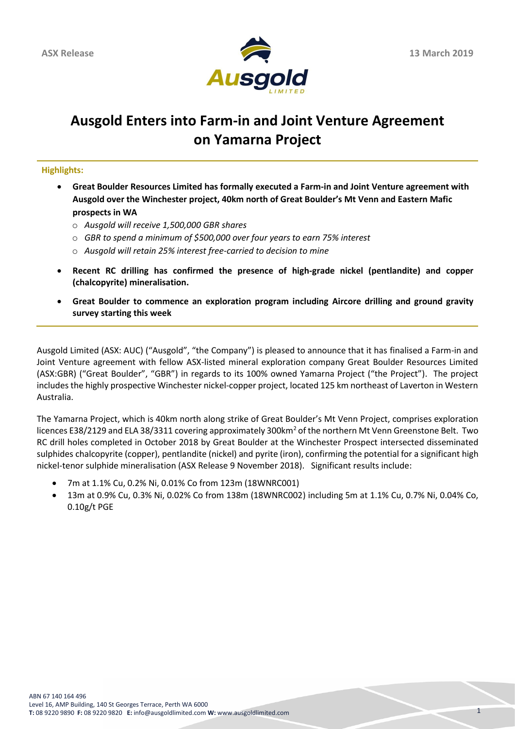

# **Ausgold Enters into Farm-in and Joint Venture Agreement on Yamarna Project**

**Highlights:**

- **Great Boulder Resources Limited has formally executed a Farm-in and Joint Venture agreement with Ausgold over the Winchester project, 40km north of Great Boulder's Mt Venn and Eastern Mafic prospects in WA**
	- o *Ausgold will receive 1,500,000 GBR shares*
	- o *GBR to spend a minimum of \$500,000 over four years to earn 75% interest*
	- o *Ausgold will retain 25% interest free-carried to decision to mine*
- **Recent RC drilling has confirmed the presence of high-grade nickel (pentlandite) and copper (chalcopyrite) mineralisation.**
- **Great Boulder to commence an exploration program including Aircore drilling and ground gravity survey starting this week**

Ausgold Limited (ASX: AUC) ("Ausgold", "the Company") is pleased to announce that it has finalised a Farm-in and Joint Venture agreement with fellow ASX-listed mineral exploration company Great Boulder Resources Limited (ASX:GBR) ("Great Boulder", "GBR") in regards to its 100% owned Yamarna Project ("the Project"). The project includes the highly prospective Winchester nickel-copper project, located 125 km northeast of Laverton in Western Australia.

The Yamarna Project, which is 40km north along strike of Great Boulder's Mt Venn Project, comprises exploration licences E38/2129 and ELA 38/3311 covering approximately 300km<sup>2</sup> of the northern Mt Venn Greenstone Belt. Two RC drill holes completed in October 2018 by Great Boulder at the Winchester Prospect intersected disseminated sulphides chalcopyrite (copper), pentlandite (nickel) and pyrite (iron), confirming the potential for a significant high nickel-tenor sulphide mineralisation (ASX Release 9 November 2018). Significant results include:

- 7m at 1.1% Cu, 0.2% Ni, 0.01% Co from 123m (18WNRC001)
- 13m at 0.9% Cu, 0.3% Ni, 0.02% Co from 138m (18WNRC002) including 5m at 1.1% Cu, 0.7% Ni, 0.04% Co, 0.10g/t PGE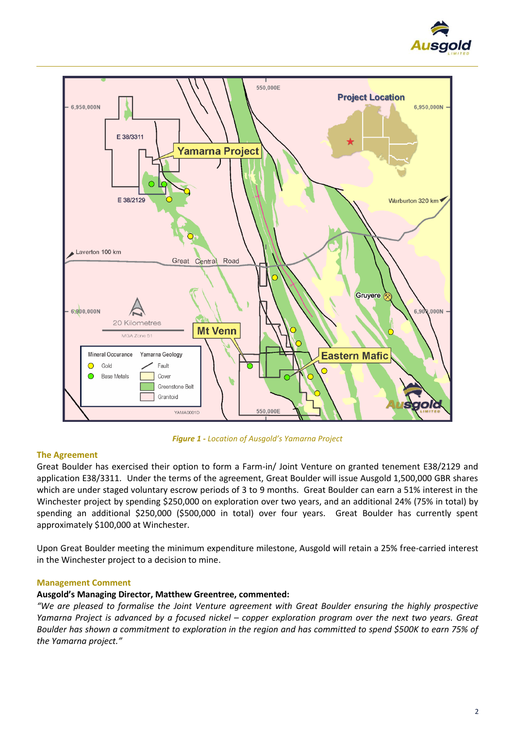



*Figure 1 - Location of Ausgold's Yamarna Project*

# **The Agreement**

Great Boulder has exercised their option to form a Farm-in/ Joint Venture on granted tenement E38/2129 and application E38/3311. Under the terms of the agreement, Great Boulder will issue Ausgold 1,500,000 GBR shares which are under staged voluntary escrow periods of 3 to 9 months. Great Boulder can earn a 51% interest in the Winchester project by spending \$250,000 on exploration over two years, and an additional 24% (75% in total) by spending an additional \$250,000 (\$500,000 in total) over four years. Great Boulder has currently spent approximately \$100,000 at Winchester.

Upon Great Boulder meeting the minimum expenditure milestone, Ausgold will retain a 25% free-carried interest in the Winchester project to a decision to mine.

# **Management Comment**

# **Ausgold's Managing Director, Matthew Greentree, commented:**

*"We are pleased to formalise the Joint Venture agreement with Great Boulder ensuring the highly prospective Yamarna Project is advanced by a focused nickel – copper exploration program over the next two years. Great Boulder has shown a commitment to exploration in the region and has committed to spend \$500K to earn 75% of the Yamarna project."*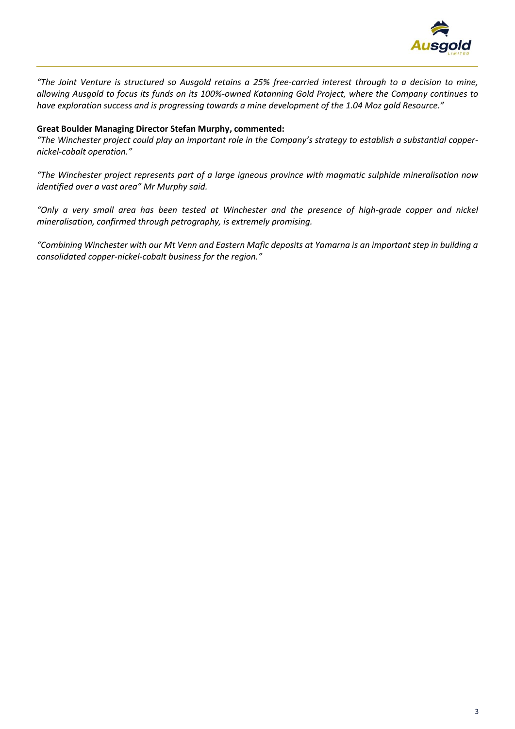

*"The Joint Venture is structured so Ausgold retains a 25% free-carried interest through to a decision to mine, allowing Ausgold to focus its funds on its 100%-owned Katanning Gold Project, where the Company continues to have exploration success and is progressing towards a mine development of the 1.04 Moz gold Resource."*

# **Great Boulder Managing Director Stefan Murphy, commented:**

*"The Winchester project could play an important role in the Company's strategy to establish a substantial coppernickel-cobalt operation."*

*"The Winchester project represents part of a large igneous province with magmatic sulphide mineralisation now identified over a vast area" Mr Murphy said.*

*"Only a very small area has been tested at Winchester and the presence of high-grade copper and nickel mineralisation, confirmed through petrography, is extremely promising.*

*"Combining Winchester with our Mt Venn and Eastern Mafic deposits at Yamarna is an important step in building a consolidated copper-nickel-cobalt business for the region."*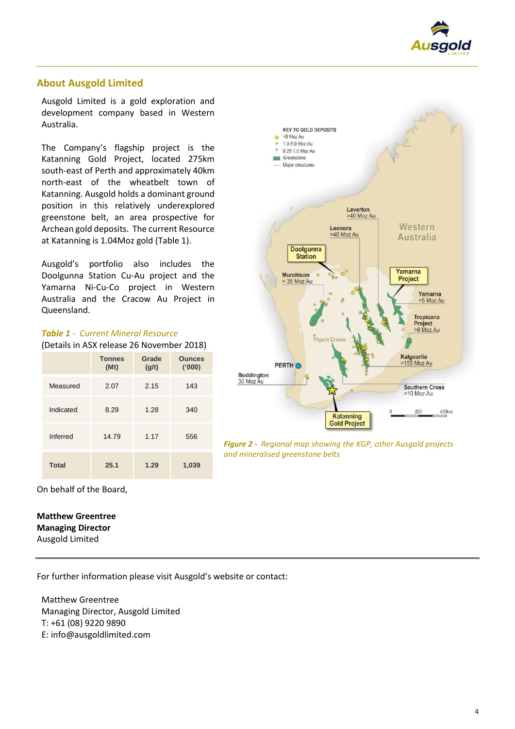

# **About Ausgold Limited**

Ausgold Limited is a gold exploration and development company based in Western Australia.

The Company's flagship project is the Katanning Gold Project, located 275km south-east of Perth and approximately 40km north-east of the wheatbelt town of Katanning. Ausgold holds a dominant ground position in this relatively underexplored greenstone belt, an area prospective for Archean gold deposits. The current Resource at Katanning is 1.04Moz gold (Table 1).

Ausgold's portfolio also includes the Doolgunna Station Cu-Au project and the Yamarna Ni-Cu-Co project in Western Australia and the Cracow Au Project in Queensland.

| (Details in ASX release 26 November 2018) |                       |                |                         |
|-------------------------------------------|-----------------------|----------------|-------------------------|
|                                           | <b>Tonnes</b><br>(Mt) | Grade<br>(g/t) | <b>Ounces</b><br>('000) |
| Measured                                  | 2.07                  | 2.15           | 143                     |
| Indicated                                 | 8.29                  | 1.28           | 340                     |
| Inferred                                  | 14.79                 | 1.17           | 556                     |
| <b>Total</b>                              | 25.1                  | 1.29           | 1,039                   |

#### *Table 1 - Current Mineral Resource*  $\epsilon$ tails in ACV release



*Figure 2 - Regional map showing the KGP, other Ausgold projects and mineralised greenstone belts*

On behalf of the Board,

# **Matthew Greentree Managing Director**

Ausgold Limited

For further information please visit Ausgold's website or contact:

Matthew Greentree Managing Director, Ausgold Limited T: +61 (08) 9220 9890 E: info@ausgoldlimited.com